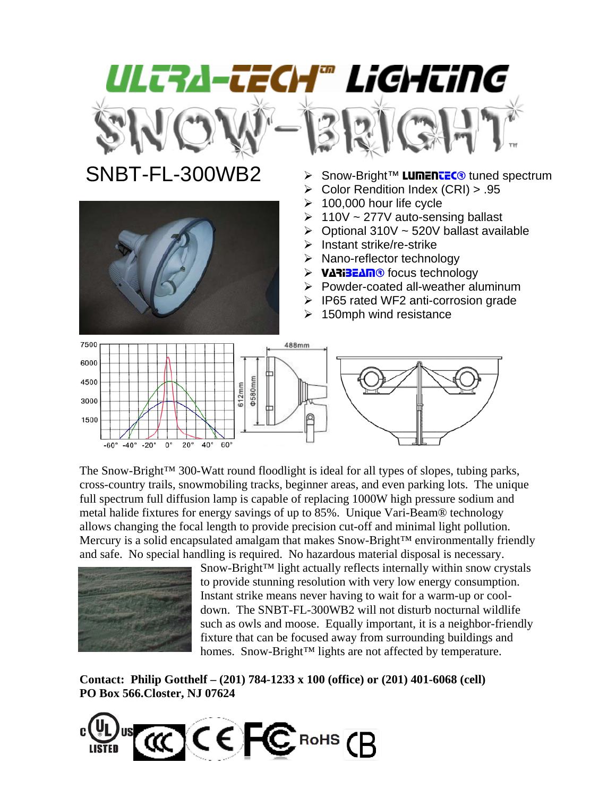



- $SNBT-FL-300WB2$   $\rightarrow$  Snow-Bright<sup>TM</sup> **LUMENTEC®** tuned spectrum
	- ¾ Color Rendition Index (CRI) > .95
	- $\geq 100,000$  hour life cycle
	- $\geq 110V \sim 277V$  auto-sensing ballast
	- $\triangleright$  Optional 310V ~ 520V ballast available
	- $\triangleright$  Instant strike/re-strike
	- ¾ Nano-reflector technology
	- ¾ VARIBEAM® focus technology
	- $\triangleright$  Powder-coated all-weather aluminum
	- $\triangleright$  IP65 rated WF2 anti-corrosion grade
	- $\geq$  150mph wind resistance



The Snow-Bright™ 300-Watt round floodlight is ideal for all types of slopes, tubing parks, cross-country trails, snowmobiling tracks, beginner areas, and even parking lots. The unique full spectrum full diffusion lamp is capable of replacing 1000W high pressure sodium and metal halide fixtures for energy savings of up to 85%. Unique Vari-Beam® technology allows changing the focal length to provide precision cut-off and minimal light pollution. Mercury is a solid encapsulated amalgam that makes Snow-Bright™ environmentally friendly and safe. No special handling is required. No hazardous material disposal is necessary.



Snow-Bright™ light actually reflects internally within snow crystals to provide stunning resolution with very low energy consumption. Instant strike means never having to wait for a warm-up or cooldown. The SNBT-FL-300WB2 will not disturb nocturnal wildlife such as owls and moose. Equally important, it is a neighbor-friendly fixture that can be focused away from surrounding buildings and homes. Snow-Bright™ lights are not affected by temperature.

**Contact: Philip Gotthelf – (201) 784-1233 x 100 (office) or (201) 401-6068 (cell) PO Box 566.Closter, NJ 07624**